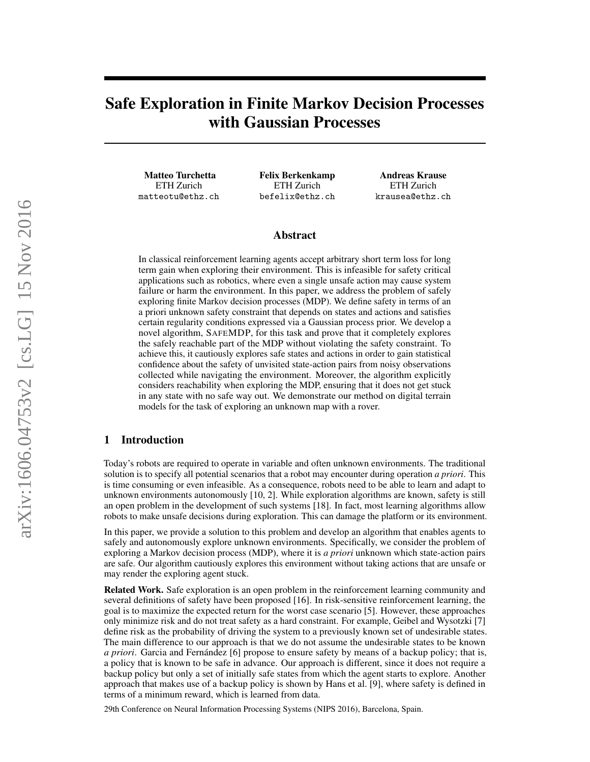# Safe Exploration in Finite Markov Decision Processes with Gaussian Processes

Matteo Turchetta ETH Zurich matteotu@ethz.ch

Felix Berkenkamp ETH Zurich befelix@ethz.ch

Andreas Krause ETH Zurich krausea@ethz.ch

#### Abstract

In classical reinforcement learning agents accept arbitrary short term loss for long term gain when exploring their environment. This is infeasible for safety critical applications such as robotics, where even a single unsafe action may cause system failure or harm the environment. In this paper, we address the problem of safely exploring finite Markov decision processes (MDP). We define safety in terms of an a priori unknown safety constraint that depends on states and actions and satisfies certain regularity conditions expressed via a Gaussian process prior. We develop a novel algorithm, SAFEMDP, for this task and prove that it completely explores the safely reachable part of the MDP without violating the safety constraint. To achieve this, it cautiously explores safe states and actions in order to gain statistical confidence about the safety of unvisited state-action pairs from noisy observations collected while navigating the environment. Moreover, the algorithm explicitly considers reachability when exploring the MDP, ensuring that it does not get stuck in any state with no safe way out. We demonstrate our method on digital terrain models for the task of exploring an unknown map with a rover.

## 1 Introduction

Today's robots are required to operate in variable and often unknown environments. The traditional solution is to specify all potential scenarios that a robot may encounter during operation *a priori*. This is time consuming or even infeasible. As a consequence, robots need to be able to learn and adapt to unknown environments autonomously [\[10,](#page-8-0) [2\]](#page-8-1). While exploration algorithms are known, safety is still an open problem in the development of such systems [\[18\]](#page-8-2). In fact, most learning algorithms allow robots to make unsafe decisions during exploration. This can damage the platform or its environment.

In this paper, we provide a solution to this problem and develop an algorithm that enables agents to safely and autonomously explore unknown environments. Specifically, we consider the problem of exploring a Markov decision process (MDP), where it is *a priori* unknown which state-action pairs are safe. Our algorithm cautiously explores this environment without taking actions that are unsafe or may render the exploring agent stuck.

Related Work. Safe exploration is an open problem in the reinforcement learning community and several definitions of safety have been proposed [\[16\]](#page-8-3). In risk-sensitive reinforcement learning, the goal is to maximize the expected return for the worst case scenario [\[5\]](#page-8-4). However, these approaches only minimize risk and do not treat safety as a hard constraint. For example, Geibel and Wysotzki [\[7\]](#page-8-5) define risk as the probability of driving the system to a previously known set of undesirable states. The main difference to our approach is that we do not assume the undesirable states to be known *a priori*. Garcia and Fernández [\[6\]](#page-8-6) propose to ensure safety by means of a backup policy; that is, a policy that is known to be safe in advance. Our approach is different, since it does not require a backup policy but only a set of initially safe states from which the agent starts to explore. Another approach that makes use of a backup policy is shown by Hans et al. [\[9\]](#page-8-7), where safety is defined in terms of a minimum reward, which is learned from data.

29th Conference on Neural Information Processing Systems (NIPS 2016), Barcelona, Spain.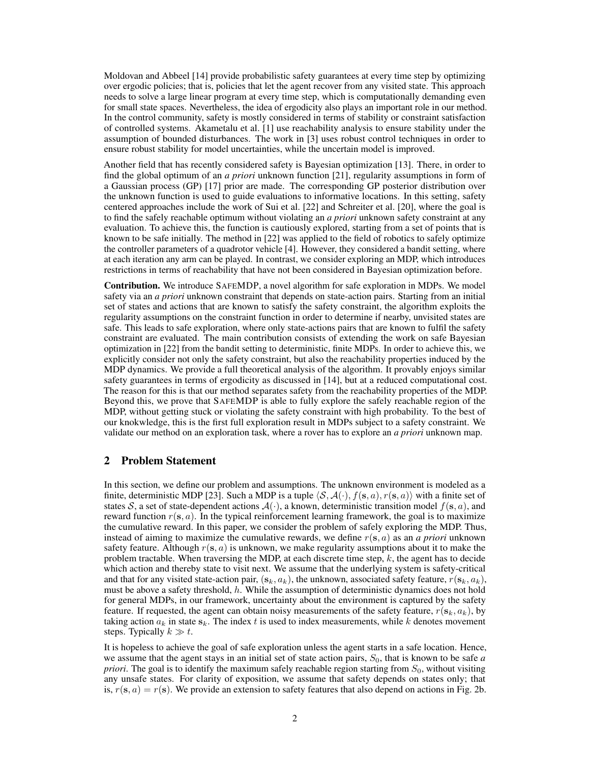Moldovan and Abbeel [\[14\]](#page-8-8) provide probabilistic safety guarantees at every time step by optimizing over ergodic policies; that is, policies that let the agent recover from any visited state. This approach needs to solve a large linear program at every time step, which is computationally demanding even for small state spaces. Nevertheless, the idea of ergodicity also plays an important role in our method. In the control community, safety is mostly considered in terms of stability or constraint satisfaction of controlled systems. Akametalu et al. [\[1\]](#page-8-9) use reachability analysis to ensure stability under the assumption of bounded disturbances. The work in [\[3\]](#page-8-10) uses robust control techniques in order to ensure robust stability for model uncertainties, while the uncertain model is improved.

Another field that has recently considered safety is Bayesian optimization [\[13\]](#page-8-11). There, in order to find the global optimum of an *a priori* unknown function [\[21\]](#page-8-12), regularity assumptions in form of a Gaussian process (GP) [\[17\]](#page-8-13) prior are made. The corresponding GP posterior distribution over the unknown function is used to guide evaluations to informative locations. In this setting, safety centered approaches include the work of Sui et al. [\[22\]](#page-8-14) and Schreiter et al. [\[20\]](#page-8-15), where the goal is to find the safely reachable optimum without violating an *a priori* unknown safety constraint at any evaluation. To achieve this, the function is cautiously explored, starting from a set of points that is known to be safe initially. The method in [\[22\]](#page-8-14) was applied to the field of robotics to safely optimize the controller parameters of a quadrotor vehicle [\[4\]](#page-8-16). However, they considered a bandit setting, where at each iteration any arm can be played. In contrast, we consider exploring an MDP, which introduces restrictions in terms of reachability that have not been considered in Bayesian optimization before.

Contribution. We introduce SAFEMDP, a novel algorithm for safe exploration in MDPs. We model safety via an *a priori* unknown constraint that depends on state-action pairs. Starting from an initial set of states and actions that are known to satisfy the safety constraint, the algorithm exploits the regularity assumptions on the constraint function in order to determine if nearby, unvisited states are safe. This leads to safe exploration, where only state-actions pairs that are known to fulfil the safety constraint are evaluated. The main contribution consists of extending the work on safe Bayesian optimization in [\[22\]](#page-8-14) from the bandit setting to deterministic, finite MDPs. In order to achieve this, we explicitly consider not only the safety constraint, but also the reachability properties induced by the MDP dynamics. We provide a full theoretical analysis of the algorithm. It provably enjoys similar safety guarantees in terms of ergodicity as discussed in [\[14\]](#page-8-8), but at a reduced computational cost. The reason for this is that our method separates safety from the reachability properties of the MDP. Beyond this, we prove that SAFEMDP is able to fully explore the safely reachable region of the MDP, without getting stuck or violating the safety constraint with high probability. To the best of our knokwledge, this is the first full exploration result in MDPs subject to a safety constraint. We validate our method on an exploration task, where a rover has to explore an *a priori* unknown map.

# <span id="page-1-0"></span>2 Problem Statement

In this section, we define our problem and assumptions. The unknown environment is modeled as a finite, deterministic MDP [\[23\]](#page-8-17). Such a MDP is a tuple  $\langle S, \mathcal{A}(\cdot), f(\mathbf{s}, a), r(\mathbf{s}, a)\rangle$  with a finite set of states S, a set of state-dependent actions  $\mathcal{A}(\cdot)$ , a known, deterministic transition model  $f(\mathbf{s}, a)$ , and reward function  $r(s, a)$ . In the typical reinforcement learning framework, the goal is to maximize the cumulative reward. In this paper, we consider the problem of safely exploring the MDP. Thus, instead of aiming to maximize the cumulative rewards, we define  $r(s, a)$  as an *a priori* unknown safety feature. Although  $r(s, a)$  is unknown, we make regularity assumptions about it to make the problem tractable. When traversing the MDP, at each discrete time step,  $k$ , the agent has to decide which action and thereby state to visit next. We assume that the underlying system is safety-critical and that for any visited state-action pair,  $(s_k, a_k)$ , the unknown, associated safety feature,  $r(s_k, a_k)$ , must be above a safety threshold, h. While the assumption of deterministic dynamics does not hold for general MDPs, in our framework, uncertainty about the environment is captured by the safety feature. If requested, the agent can obtain noisy measurements of the safety feature,  $r(s_k, a_k)$ , by taking action  $a_k$  in state  $s_k$ . The index t is used to index measurements, while k denotes movement steps. Typically  $k \gg t$ .

It is hopeless to achieve the goal of safe exploration unless the agent starts in a safe location. Hence, we assume that the agent stays in an initial set of state action pairs,  $S<sub>0</sub>$ , that is known to be safe *a priori*. The goal is to identify the maximum safely reachable region starting from  $S_0$ , without visiting any unsafe states. For clarity of exposition, we assume that safety depends on states only; that is,  $r(s, a) = r(s)$ . We provide an extension to safety features that also depend on actions in Fig. [2b.](#page-4-0)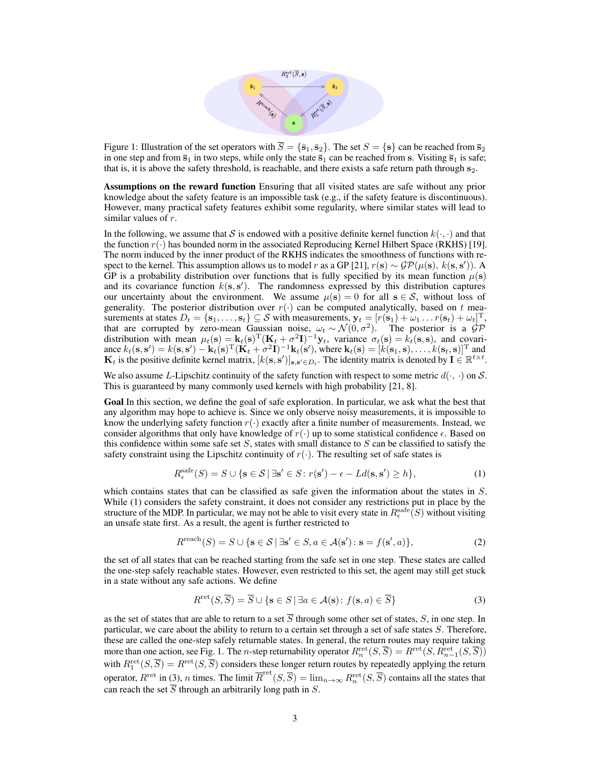

<span id="page-2-1"></span>Figure 1: Illustration of the set operators with  $\overline{S} = \{\overline{s}_1, \overline{s}_2\}$ . The set  $S = \{s\}$  can be reached from  $\overline{s}_2$ in one step and from  $\bar{s}_1$  in two steps, while only the state  $\bar{s}_1$  can be reached from s. Visiting  $\bar{s}_1$  is safe; that is, it is above the safety threshold, is reachable, and there exists a safe return path through  $s_2$ .

Assumptions on the reward function Ensuring that all visited states are safe without any prior knowledge about the safety feature is an impossible task (e.g., if the safety feature is discontinuous). However, many practical safety features exhibit some regularity, where similar states will lead to similar values of r.

In the following, we assume that S is endowed with a positive definite kernel function  $k(\cdot, \cdot)$  and that the function  $r(\cdot)$  has bounded norm in the associated Reproducing Kernel Hilbert Space (RKHS) [\[19\]](#page-8-18). The norm induced by the inner product of the RKHS indicates the smoothness of functions with re-spect to the kernel. This assumption allows us to model r as a GP [\[21\]](#page-8-12),  $r(s) \sim \mathcal{GP}(\mu(s), k(s, s'))$ . A GP is a probability distribution over functions that is fully specified by its mean function  $\mu(s)$ and its covariance function  $k(s, s')$ . The randomness expressed by this distribution captures our uncertainty about the environment. We assume  $\mu(s) = 0$  for all  $s \in S$ , without loss of generality. The posterior distribution over  $r(\cdot)$  can be computed analytically, based on t measurements at states  $D_t = \{\mathbf{s}_1, \dots, \mathbf{s}_t\} \subseteq \mathcal{S}$  with measurements,  $\mathbf{y}_t = [r(\mathbf{s}_1) + \omega_1 \dots r(\mathbf{s}_t) + \omega_t]^T$ , that are corrupted by zero-mean Gaussian noise,  $\omega_t \sim \mathcal{N}(0, \sigma^2)$ . The posterior is a  $\mathcal{GP}$ distribution with mean  $\mu_t(s) = k_t(s)^T (K_t + \sigma^2 I)^{-1} y_t$ , variance  $\sigma_t(s) = k_t(s, s)$ , and covariance  $k_t(\mathbf{s}, \mathbf{s}') = k(\mathbf{s}, \mathbf{s}') - \mathbf{k}_t(\mathbf{s})^{\mathrm{T}} (\mathbf{K}_t + \sigma^2 \mathbf{I})^{-1} \mathbf{k}_t(\mathbf{s}')$ , where  $\mathbf{k}_t(\mathbf{s}) = [k(\mathbf{s}_1, \mathbf{s}), \dots, k(\mathbf{s}_t, \mathbf{s})]^{\mathrm{T}}$  and  $\mathbf{K}_t$  is the positive definite kernel matrix,  $[k(\mathbf{s}, \mathbf{s}')]_{\mathbf{s}, \mathbf{s}' \in D_t}$ . The identity matrix is denoted by  $\mathbf{I} \in \mathbb{R}^{t \times t}$ .

We also assume L-Lipschitz continuity of the safety function with respect to some metric  $d(\cdot, \cdot)$  on S. This is guaranteed by many commonly used kernels with high probability [\[21,](#page-8-12) [8\]](#page-8-19).

Goal In this section, we define the goal of safe exploration. In particular, we ask what the best that any algorithm may hope to achieve is. Since we only observe noisy measurements, it is impossible to know the underlying safety function  $r(\cdot)$  exactly after a finite number of measurements. Instead, we consider algorithms that only have knowledge of  $r(\cdot)$  up to some statistical confidence  $\epsilon$ . Based on this confidence within some safe set  $S$ , states with small distance to  $S$  can be classified to satisfy the safety constraint using the Lipschitz continuity of  $r(\cdot)$ . The resulting set of safe states is

<span id="page-2-0"></span>
$$
R_{\epsilon}^{\text{safe}}(S) = S \cup \{ \mathbf{s} \in \mathcal{S} \mid \exists \mathbf{s}' \in S : r(\mathbf{s}') - \epsilon - Ld(\mathbf{s}, \mathbf{s}') \ge h \},\tag{1}
$$

which contains states that can be classified as safe given the information about the states in S. While [\(1\)](#page-2-0) considers the safety constraint, it does not consider any restrictions put in place by the structure of the MDP. In particular, we may not be able to visit every state in  $R_{\epsilon}^{\text{safe}}(S)$  without visiting an unsafe state first. As a result, the agent is further restricted to

$$
R^{\text{reach}}(S) = S \cup \{ \mathbf{s} \in S \mid \exists \mathbf{s}' \in S, a \in \mathcal{A}(\mathbf{s}') : \mathbf{s} = f(\mathbf{s}', a) \},\tag{2}
$$

the set of all states that can be reached starting from the safe set in one step. These states are called the one-step safely reachable states. However, even restricted to this set, the agent may still get stuck in a state without any safe actions. We define

<span id="page-2-2"></span>
$$
R^{\text{ret}}(S,\overline{S}) = \overline{S} \cup \{ \mathbf{s} \in S \mid \exists a \in \mathcal{A}(\mathbf{s}) : f(\mathbf{s}, a) \in \overline{S} \}
$$
(3)

as the set of states that are able to return to a set  $\overline{S}$  through some other set of states, S, in one step. In particular, we care about the ability to return to a certain set through a set of safe states S. Therefore, these are called the one-step safely returnable states. In general, the return routes may require taking more than one action, see Fig. [1.](#page-2-1) The *n*-step returnability operator  $R_n^{\text{ret}}(S, \overline{S}) = R^{\text{ret}}(S, R_{n-1}^{\text{ret}}(S, \overline{S}))$ with  $R_1^{\text{ret}}(S,\overline{S}) = R^{\text{ret}}(S,\overline{S})$  considers these longer return routes by repeatedly applying the return operator,  $R^{\text{ret}}$  in [\(3\)](#page-2-2), *n* times. The limit  $\overline{R}^{\text{ret}}(S, \overline{S}) = \lim_{n \to \infty} R_n^{\text{ret}}(S, \overline{S})$  contains all the states that can reach the set  $\overline{S}$  through an arbitrarily long path in S.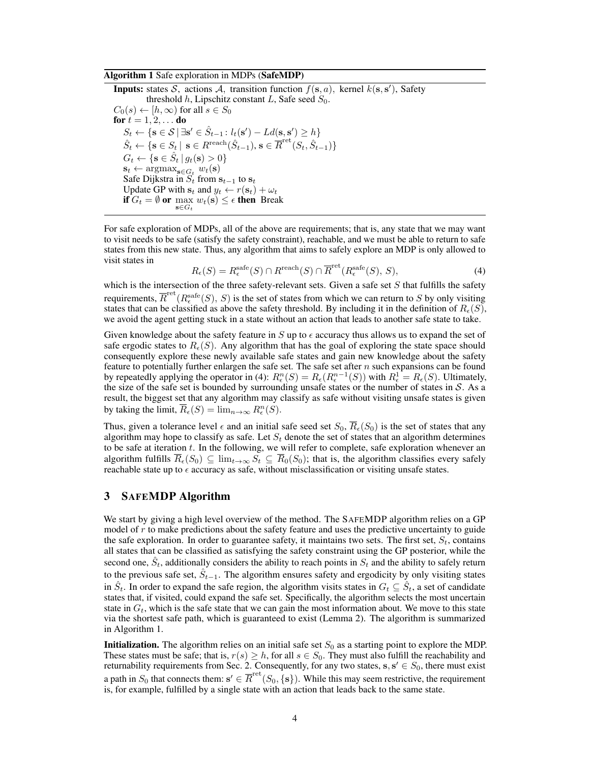#### <span id="page-3-1"></span>Algorithm 1 Safe exploration in MDPs (SafeMDP)

**Inputs:** states S, actions A, transition function  $f(\mathbf{s}, a)$ , kernel  $k(\mathbf{s}, s')$ , Safety threshold h, Lipschitz constant L, Safe seed  $S_0$ .  $C_0(s) \leftarrow [h, \infty)$  for all  $s \in S_0$ for  $t = 1, 2, ...$  do  $S_t \leftarrow {\mathbf{s} \in \mathcal{S} | \exists \mathbf{s'} \in \hat{S}_{t-1} : l_t(\mathbf{s'}) - Ld(\mathbf{s}, \mathbf{s'}) \geq h}$  $\hat{S}_t \leftarrow \{\mathbf{s} \in S_t \mid \, \mathbf{s} \in R^{\text{reach}}(\hat{S}_{t-1}), \, \mathbf{s} \in \overline{R}^{\text{ret}}(S_t, \hat{S}_{t-1})\}$  $G_t \leftarrow {\mathbf{s} \in \hat{S}_t | g_t(\mathbf{s}) > 0}$  $\mathbf{s}_t \leftarrow \operatorname{argmax}_{\mathbf{s} \in G_t} w_t(\mathbf{s})$ Safe Dijkstra in  $S_t$  from  $\mathbf{s}_{t-1}$  to  $\mathbf{s}_t$ Update GP with  $\mathbf{s}_t$  and  $y_t \leftarrow r(\mathbf{s}_t) + \omega_t$ **if**  $G_t = \emptyset$  or  $\max_{\mathbf{s} \in G_t} w_t(\mathbf{s}) \leq \epsilon$  then Break

For safe exploration of MDPs, all of the above are requirements; that is, any state that we may want to visit needs to be safe (satisfy the safety constraint), reachable, and we must be able to return to safe states from this new state. Thus, any algorithm that aims to safely explore an MDP is only allowed to visit states in

<span id="page-3-0"></span>
$$
R_{\epsilon}(S) = R_{\epsilon}^{\text{safe}}(S) \cap R^{\text{reach}}(S) \cap \overline{R}^{\text{ret}}(R_{\epsilon}^{\text{safe}}(S), S), \tag{4}
$$

which is the intersection of the three safety-relevant sets. Given a safe set  $S$  that fulfills the safety requirements,  $\overline{R}^{\text{ret}}(R^{\text{safe}}_{\epsilon}(S), S)$  is the set of states from which we can return to S by only visiting states that can be classified as above the safety threshold. By including it in the definition of  $R_{\epsilon}(S)$ , we avoid the agent getting stuck in a state without an action that leads to another safe state to take.

Given knowledge about the safety feature in S up to  $\epsilon$  accuracy thus allows us to expand the set of safe ergodic states to  $R_{\epsilon}(S)$ . Any algorithm that has the goal of exploring the state space should consequently explore these newly available safe states and gain new knowledge about the safety feature to potentially further enlargen the safe set. The safe set after  $n$  such expansions can be found by repeatedly applying the operator in [\(4\)](#page-3-0):  $R_{\epsilon}^{n}(S) = R_{\epsilon}(R_{\epsilon}^{n-1}(S))$  with  $R_{\epsilon}^{1} = R_{\epsilon}(S)$ . Ultimately, the size of the safe set is bounded by surrounding unsafe states or the number of states in  $S$ . As a result, the biggest set that any algorithm may classify as safe without visiting unsafe states is given by taking the limit,  $\overline{R}_{\epsilon}(S) = \lim_{n \to \infty} R_{\epsilon}^{n}(S)$ .

Thus, given a tolerance level  $\epsilon$  and an initial safe seed set  $S_0$ ,  $R_{\epsilon}(S_0)$  is the set of states that any algorithm may hope to classify as safe. Let  $S_t$  denote the set of states that an algorithm determines to be safe at iteration t. In the following, we will refer to complete, safe exploration whenever an algorithm fulfills  $R_{\epsilon}(S_0) \subseteq \lim_{t\to\infty} S_t \subseteq R_0(S_0)$ ; that is, the algorithm classifies every safely reachable state up to  $\epsilon$  accuracy as safe, without misclassification or visiting unsafe states.

## 3 SAFEMDP Algorithm

We start by giving a high level overview of the method. The SAFEMDP algorithm relies on a GP model of  $r$  to make predictions about the safety feature and uses the predictive uncertainty to guide the safe exploration. In order to guarantee safety, it maintains two sets. The first set,  $S_t$ , contains all states that can be classified as satisfying the safety constraint using the GP posterior, while the second one,  $\hat{S}_t$ , additionally considers the ability to reach points in  $S_t$  and the ability to safely return to the previous safe set,  $\hat{S}_{t-1}$ . The algorithm ensures safety and ergodicity by only visiting states in  $\hat{S}_t$ . In order to expand the safe region, the algorithm visits states in  $G_t \subseteq \hat{S}_t$ , a set of candidate states that, if visited, could expand the safe set. Specifically, the algorithm selects the most uncertain state in  $G_t$ , which is the safe state that we can gain the most information about. We move to this state via the shortest safe path, which is guaranteed to exist (Lemma [2\)](#page-5-0). The algorithm is summarized in Algorithm [1.](#page-3-1)

**Initialization.** The algorithm relies on an initial safe set  $S_0$  as a starting point to explore the MDP. These states must be safe; that is,  $r(s) \geq h$ , for all  $s \in S_0$ . They must also fulfill the reachability and returnability requirements from Sec. [2.](#page-1-0) Consequently, for any two states,  $s, s' \in S_0$ , there must exist a path in  $S_0$  that connects them:  $\mathbf{s}' \in \overline{R}^{\text{ret}}(S_0, \{s\})$ . While this may seem restrictive, the requirement is, for example, fulfilled by a single state with an action that leads back to the same state.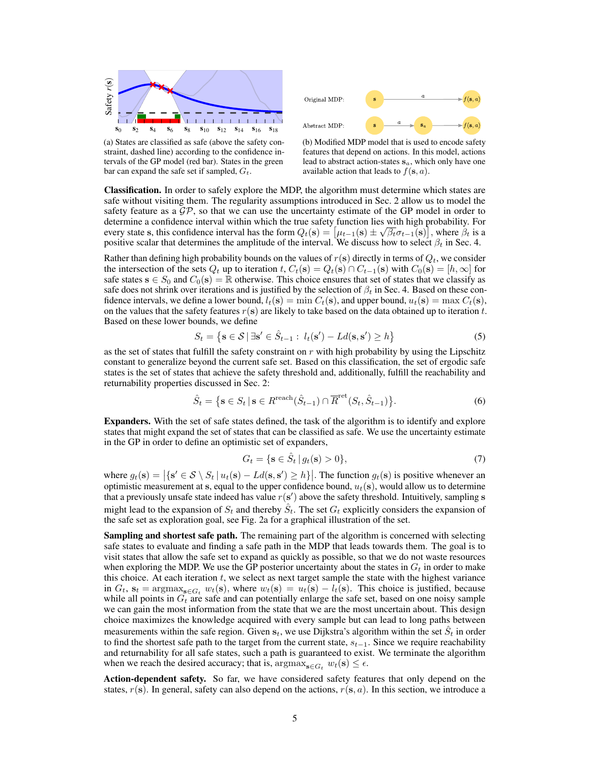<span id="page-4-1"></span>



(a) States are classified as safe (above the safety constraint, dashed line) according to the confidence intervals of the GP model (red bar). States in the green bar can expand the safe set if sampled,  $G_t$ .

<span id="page-4-0"></span>(b) Modified MDP model that is used to encode safety features that depend on actions. In this model, actions lead to abstract action-states  $s_a$ , which only have one available action that leads to  $f(\mathbf{s}, a)$ .

Classification. In order to safely explore the MDP, the algorithm must determine which states are safe without visiting them. The regularity assumptions introduced in Sec. [2](#page-1-0) allow us to model the safety feature as a  $\mathcal{GP}$ , so that we can use the uncertainty estimate of the GP model in order to determine a confidence interval within which the true safety function lies with high probability. For every state s, this confidence interval has the form  $Q_t(\mathbf{s}) = [\mu_{t-1}(\mathbf{s}) \pm \sqrt{\beta_t} \sigma_{t-1}(\mathbf{s})]$ , where  $\beta_t$  is a positive scalar that determines the amplitude of the interval. We discuss how to select  $\beta_t$  in Sec. [4.](#page-5-1)

Rather than defining high probability bounds on the values of  $r(s)$  directly in terms of  $Q_t$ , we consider the intersection of the sets  $Q_t$  up to iteration t,  $C_t(\mathbf{s}) = Q_t(\mathbf{s}) \cap C_{t-1}(\mathbf{s})$  with  $C_0(\mathbf{s}) = [h, \infty]$  for safe states  $s \in S_0$  and  $C_0(s) = \mathbb{R}$  otherwise. This choice ensures that set of states that we classify as safe does not shrink over iterations and is justified by the selection of  $\beta_t$  in Sec. [4.](#page-5-1) Based on these confidence intervals, we define a lower bound,  $l_t(s) = \min C_t(s)$ , and upper bound,  $u_t(s) = \max C_t(s)$ , on the values that the safety features  $r(s)$  are likely to take based on the data obtained up to iteration t. Based on these lower bounds, we define

$$
S_t = \left\{ \mathbf{s} \in \mathcal{S} \, | \, \exists \mathbf{s}' \in \hat{S}_{t-1} : l_t(\mathbf{s}') - Ld(\mathbf{s}, \mathbf{s}') \ge h \right\} \tag{5}
$$

as the set of states that fulfill the safety constraint on  $r$  with high probability by using the Lipschitz constant to generalize beyond the current safe set. Based on this classification, the set of ergodic safe states is the set of states that achieve the safety threshold and, additionally, fulfill the reachability and returnability properties discussed in Sec. [2:](#page-1-0)

$$
\hat{S}_t = \left\{ \mathbf{s} \in S_t \, | \, \mathbf{s} \in R^{\text{reach}}(\hat{S}_{t-1}) \cap \overline{R}^{\text{ret}}(S_t, \hat{S}_{t-1}) \right\}.
$$
 (6)

Expanders. With the set of safe states defined, the task of the algorithm is to identify and explore states that might expand the set of states that can be classified as safe. We use the uncertainty estimate in the GP in order to define an optimistic set of expanders,

$$
G_t = \{ \mathbf{s} \in \hat{S}_t \, | \, g_t(\mathbf{s}) > 0 \},\tag{7}
$$

where  $g_t(\mathbf{s}) = |\{\mathbf{s}' \in \mathcal{S} \setminus S_t | u_t(\mathbf{s}) - Ld(\mathbf{s}, \mathbf{s}') \ge h\}|$ . The function  $g_t(\mathbf{s})$  is positive whenever an optimistic measurement at s, equal to the upper confidence bound,  $u_t(s)$ , would allow us to determine that a previously unsafe state indeed has value  $r(s')$  above the safety threshold. Intuitively, sampling s might lead to the expansion of  $S_t$  and thereby  $\hat{S}_t$ . The set  $G_t$  explicitly considers the expansion of the safe set as exploration goal, see Fig. [2a](#page-4-1) for a graphical illustration of the set.

Sampling and shortest safe path. The remaining part of the algorithm is concerned with selecting safe states to evaluate and finding a safe path in the MDP that leads towards them. The goal is to visit states that allow the safe set to expand as quickly as possible, so that we do not waste resources when exploring the MDP. We use the GP posterior uncertainty about the states in  $G_t$  in order to make this choice. At each iteration  $t$ , we select as next target sample the state with the highest variance in  $G_t$ ,  $s_t = \text{argmax}_{s \in G_t} w_t(s)$ , where  $w_t(s) = u_t(s) - l_t(s)$ . This choice is justified, because while all points in  $G_t$  are safe and can potentially enlarge the safe set, based on one noisy sample we can gain the most information from the state that we are the most uncertain about. This design choice maximizes the knowledge acquired with every sample but can lead to long paths between measurements within the safe region. Given  $s_t$ , we use Dijkstra's algorithm within the set  $\hat{S}_t$  in order to find the shortest safe path to the target from the current state,  $s_{t-1}$ . Since we require reachability and returnability for all safe states, such a path is guaranteed to exist. We terminate the algorithm when we reach the desired accuracy; that is,  $\arg \max_{\mathbf{s} \in G_t} w_t(\mathbf{s}) \leq \epsilon$ .

Action-dependent safety. So far, we have considered safety features that only depend on the states,  $r(s)$ . In general, safety can also depend on the actions,  $r(s, a)$ . In this section, we introduce a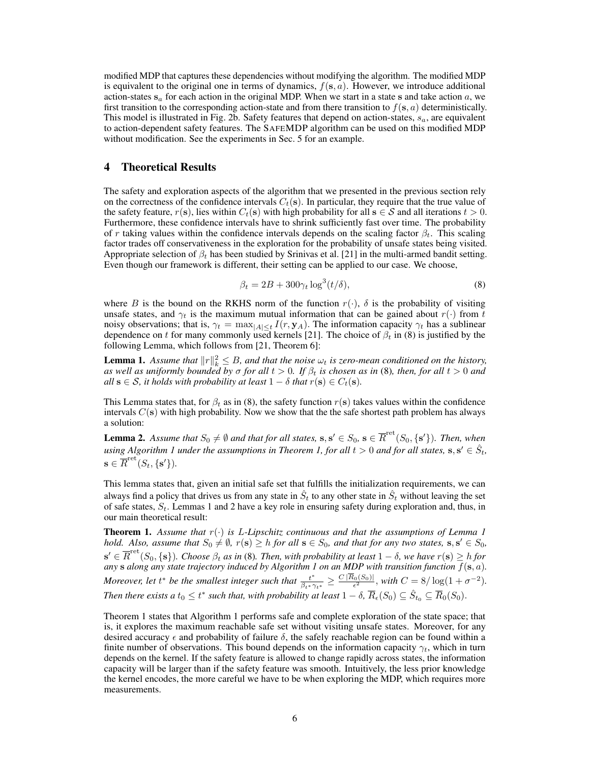modified MDP that captures these dependencies without modifying the algorithm. The modified MDP is equivalent to the original one in terms of dynamics,  $f(s, a)$ . However, we introduce additional action-states  $s_a$  for each action in the original MDP. When we start in a state s and take action a, we first transition to the corresponding action-state and from there transition to  $f(s, a)$  deterministically. This model is illustrated in Fig. [2b.](#page-4-0) Safety features that depend on action-states,  $s_a$ , are equivalent to action-dependent safety features. The SAFEMDP algorithm can be used on this modified MDP without modification. See the experiments in Sec. [5](#page-6-0) for an example.

### <span id="page-5-1"></span>4 Theoretical Results

The safety and exploration aspects of the algorithm that we presented in the previous section rely on the correctness of the confidence intervals  $C_t(s)$ . In particular, they require that the true value of the safety feature,  $r(s)$ , lies within  $C_t(s)$  with high probability for all  $s \in S$  and all iterations  $t > 0$ . Furthermore, these confidence intervals have to shrink sufficiently fast over time. The probability of r taking values within the confidence intervals depends on the scaling factor  $\beta_t$ . This scaling factor trades off conservativeness in the exploration for the probability of unsafe states being visited. Appropriate selection of  $\beta_t$  has been studied by Srinivas et al. [\[21\]](#page-8-12) in the multi-armed bandit setting. Even though our framework is different, their setting can be applied to our case. We choose,

<span id="page-5-2"></span>
$$
\beta_t = 2B + 300\gamma_t \log^3(t/\delta),\tag{8}
$$

where B is the bound on the RKHS norm of the function  $r(\cdot)$ ,  $\delta$  is the probability of visiting unsafe states, and  $\gamma_t$  is the maximum mutual information that can be gained about  $r(\cdot)$  from t noisy observations; that is,  $\gamma_t = \max_{|A| \leq t} I(r, y_A)$ . The information capacity  $\gamma_t$  has a sublinear dependence on t for many commonly used kernels [\[21\]](#page-8-12). The choice of  $\beta_t$  in [\(8\)](#page-5-2) is justified by the following Lemma, which follows from [\[21,](#page-8-12) Theorem 6]:

<span id="page-5-4"></span>**Lemma 1.** Assume that  $||r||_k^2 \leq B$ , and that the noise  $\omega_t$  is zero-mean conditioned on the history, *as well as uniformly bounded by* σ *for all* t > 0*. If* β<sup>t</sup> *is chosen as in* [\(8\)](#page-5-2)*, then, for all* t > 0 *and all*  $s \in S$ *, it holds with probability at least*  $1 - \delta$  *that*  $r(s) \in C_t(s)$ *.* 

This Lemma states that, for  $\beta_t$  as in [\(8\)](#page-5-2), the safety function  $r(s)$  takes values within the confidence intervals  $C(s)$  with high probability. Now we show that the the safe shortest path problem has always a solution:

<span id="page-5-0"></span>**Lemma 2.** Assume that  $S_0 \neq \emptyset$  and that for all states,  $s, s' \in S_0$ ,  $s \in \overline{R}^{\text{ret}}(S_0, \{s'\})$ . Then, when using Algorithm [1](#page-3-1) under the assumptions in Theorem [1,](#page-5-3) for all  $t > 0$  and for all states,  $s, s' \in \hat{S}_t$ ,  $\mathbf{s} \in \overline{R}^{\rm ret}(S_t,\{\mathbf{s}'\}).$ 

This lemma states that, given an initial safe set that fulfills the initialization requirements, we can always find a policy that drives us from any state in  $\hat{S}_t$  to any other state in  $\hat{S}_t$  without leaving the set of safe states,  $S_t$ . Lemmas [1](#page-5-4) and [2](#page-5-0) have a key role in ensuring safety during exploration and, thus, in our main theoretical result:

<span id="page-5-3"></span>**Theorem [1](#page-5-4).** Assume that  $r(\cdot)$  is L-Lipschitz continuous and that the assumptions of Lemma 1 *hold.* Also, assume that  $S_0 \neq \emptyset$ ,  $r(s) \geq h$  for all  $s \in S_0$ , and that for any two states,  $s, s' \in S_0$ ,  $\mathbf{s}' \in \overline{R}^{\text{ret}}(S_0,\{\mathbf{s}\})$ . Choose  $\beta_t$  as in [\(8\)](#page-5-2). Then, with probability at least  $1-\delta$ , we have  $r(\mathbf{s}) \geq h$  for *any* **s** along any state trajectory induced by Algorithm [1](#page-3-1) on an MDP with transition function  $f(\mathbf{s}, a)$ . *Moreover, let*  $t^*$  *be the smallest integer such that*  $\frac{t^*}{\beta_{t^*}\gamma_{t^*}} \ge \frac{C |\overline{R}_0(S_0)|}{\epsilon^2}$ , with  $C = 8/\log(1 + \sigma^{-2})$ . Then there exists a  $t_0\le t^*$  such that, with probability at least  $1-\delta$ ,  $\overline R_\epsilon(S_0)\subseteq \hat S_{t_0}\subseteq \overline R_0(S_0).$ 

Theorem [1](#page-5-3) states that Algorithm [1](#page-3-1) performs safe and complete exploration of the state space; that is, it explores the maximum reachable safe set without visiting unsafe states. Moreover, for any desired accuracy  $\epsilon$  and probability of failure  $\delta$ , the safely reachable region can be found within a finite number of observations. This bound depends on the information capacity  $\gamma_t$ , which in turn depends on the kernel. If the safety feature is allowed to change rapidly across states, the information capacity will be larger than if the safety feature was smooth. Intuitively, the less prior knowledge the kernel encodes, the more careful we have to be when exploring the MDP, which requires more measurements.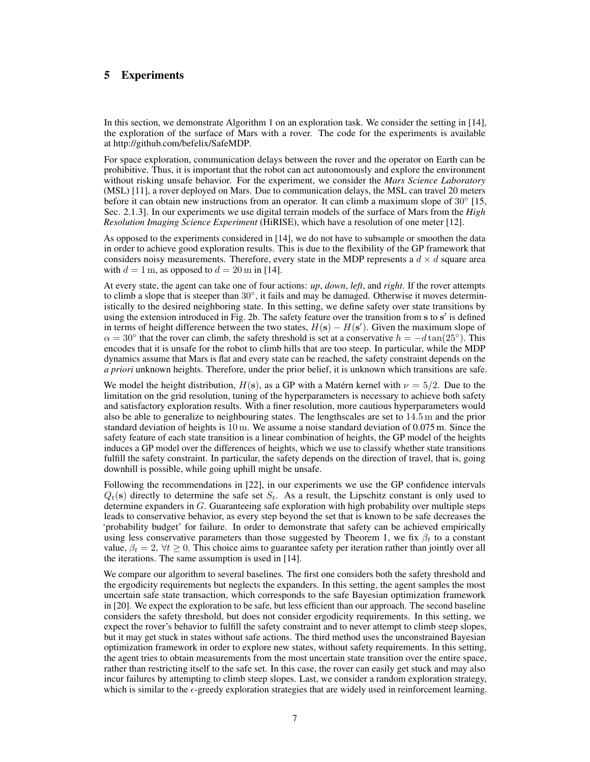# <span id="page-6-0"></span>5 Experiments

In this section, we demonstrate Algorithm [1](#page-3-1) on an exploration task. We consider the setting in [\[14\]](#page-8-8), the exploration of the surface of Mars with a rover. The code for the experiments is available at [http://github.com/befelix/SafeMDP.](http://github.com/befelix/SafeMDP)

For space exploration, communication delays between the rover and the operator on Earth can be prohibitive. Thus, it is important that the robot can act autonomously and explore the environment without risking unsafe behavior. For the experiment, we consider the *Mars Science Laboratory* (MSL) [\[11\]](#page-8-20), a rover deployed on Mars. Due to communication delays, the MSL can travel 20 meters before it can obtain new instructions from an operator. It can climb a maximum slope of 30° [\[15,](#page-8-21) Sec. 2.1.3]. In our experiments we use digital terrain models of the surface of Mars from the *High Resolution Imaging Science Experiment* (HiRISE), which have a resolution of one meter [\[12\]](#page-8-22).

As opposed to the experiments considered in [\[14\]](#page-8-8), we do not have to subsample or smoothen the data in order to achieve good exploration results. This is due to the flexibility of the GP framework that considers noisy measurements. Therefore, every state in the MDP represents a  $d \times d$  square area with  $d = 1$  m, as opposed to  $d = 20$  m in [\[14\]](#page-8-8).

At every state, the agent can take one of four actions: *up*, *down*, *left*, and *right*. If the rover attempts to climb a slope that is steeper than 30°, it fails and may be damaged. Otherwise it moves deterministically to the desired neighboring state. In this setting, we define safety over state transitions by using the extension introduced in Fig. [2b.](#page-4-0) The safety feature over the transition from s to s' is defined in terms of height difference between the two states,  $H(s) - H(s')$ . Given the maximum slope of  $\alpha = 30^{\circ}$  that the rover can climb, the safety threshold is set at a conservative  $h = -d \tan(25^{\circ})$ . This encodes that it is unsafe for the robot to climb hills that are too steep. In particular, while the MDP dynamics assume that Mars is flat and every state can be reached, the safety constraint depends on the *a priori* unknown heights. Therefore, under the prior belief, it is unknown which transitions are safe.

We model the height distribution,  $H(s)$ , as a GP with a Matérn kernel with  $\nu = 5/2$ . Due to the limitation on the grid resolution, tuning of the hyperparameters is necessary to achieve both safety and satisfactory exploration results. With a finer resolution, more cautious hyperparameters would also be able to generalize to neighbouring states. The lengthscales are set to 14.5 m and the prior standard deviation of heights is 10 m. We assume a noise standard deviation of 0.075 m. Since the safety feature of each state transition is a linear combination of heights, the GP model of the heights induces a GP model over the differences of heights, which we use to classify whether state transitions fulfill the safety constraint. In particular, the safety depends on the direction of travel, that is, going downhill is possible, while going uphill might be unsafe.

Following the recommendations in [\[22\]](#page-8-14), in our experiments we use the GP confidence intervals  $Q_t(s)$  directly to determine the safe set  $S_t$ . As a result, the Lipschitz constant is only used to determine expanders in  $G$ . Guaranteeing safe exploration with high probability over multiple steps leads to conservative behavior, as every step beyond the set that is known to be safe decreases the 'probability budget' for failure. In order to demonstrate that safety can be achieved empirically using less conservative parameters than those suggested by Theorem [1,](#page-5-3) we fix  $\beta_t$  to a constant value,  $\beta_t = 2$ ,  $\forall t \geq 0$ . This choice aims to guarantee safety per iteration rather than jointly over all the iterations. The same assumption is used in [\[14\]](#page-8-8).

We compare our algorithm to several baselines. The first one considers both the safety threshold and the ergodicity requirements but neglects the expanders. In this setting, the agent samples the most uncertain safe state transaction, which corresponds to the safe Bayesian optimization framework in [\[20\]](#page-8-15). We expect the exploration to be safe, but less efficient than our approach. The second baseline considers the safety threshold, but does not consider ergodicity requirements. In this setting, we expect the rover's behavior to fulfill the safety constraint and to never attempt to climb steep slopes, but it may get stuck in states without safe actions. The third method uses the unconstrained Bayesian optimization framework in order to explore new states, without safety requirements. In this setting, the agent tries to obtain measurements from the most uncertain state transition over the entire space, rather than restricting itself to the safe set. In this case, the rover can easily get stuck and may also incur failures by attempting to climb steep slopes. Last, we consider a random exploration strategy, which is similar to the  $\epsilon$ -greedy exploration strategies that are widely used in reinforcement learning.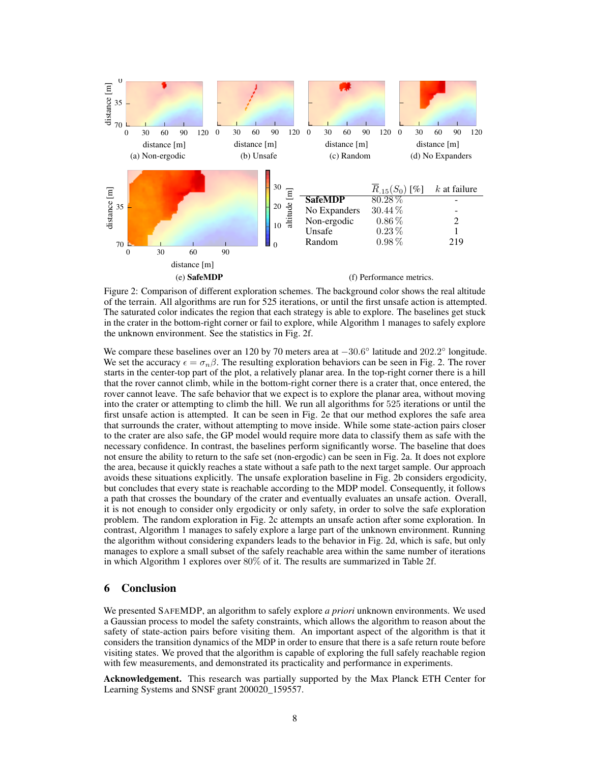<span id="page-7-4"></span><span id="page-7-3"></span><span id="page-7-2"></span>

<span id="page-7-1"></span><span id="page-7-0"></span>Figure 2: Comparison of different exploration schemes. The background color shows the real altitude of the terrain. All algorithms are run for 525 iterations, or until the first unsafe action is attempted. The saturated color indicates the region that each strategy is able to explore. The baselines get stuck in the crater in the bottom-right corner or fail to explore, while Algorithm [1](#page-3-1) manages to safely explore the unknown environment. See the statistics in Fig. [2f.](#page-7-0)

We compare these baselines over an 120 by 70 meters area at  $-30.6^{\circ}$  latitude and 202.2° longitude. We set the accuracy  $\epsilon = \sigma_n \beta$ . The resulting exploration behaviors can be seen in Fig. [2.](#page-7-1) The rover starts in the center-top part of the plot, a relatively planar area. In the top-right corner there is a hill that the rover cannot climb, while in the bottom-right corner there is a crater that, once entered, the rover cannot leave. The safe behavior that we expect is to explore the planar area, without moving into the crater or attempting to climb the hill. We run all algorithms for 525 iterations or until the first unsafe action is attempted. It can be seen in Fig. [2e](#page-7-2) that our method explores the safe area that surrounds the crater, without attempting to move inside. While some state-action pairs closer to the crater are also safe, the GP model would require more data to classify them as safe with the necessary confidence. In contrast, the baselines perform significantly worse. The baseline that does not ensure the ability to return to the safe set (non-ergodic) can be seen in Fig. [2a.](#page-4-1) It does not explore the area, because it quickly reaches a state without a safe path to the next target sample. Our approach avoids these situations explicitly. The unsafe exploration baseline in Fig. [2b](#page-4-0) considers ergodicity, but concludes that every state is reachable according to the MDP model. Consequently, it follows a path that crosses the boundary of the crater and eventually evaluates an unsafe action. Overall, it is not enough to consider only ergodicity or only safety, in order to solve the safe exploration problem. The random exploration in Fig. [2c](#page-7-3) attempts an unsafe action after some exploration. In contrast, Algorithm [1](#page-3-1) manages to safely explore a large part of the unknown environment. Running the algorithm without considering expanders leads to the behavior in Fig. [2d,](#page-7-4) which is safe, but only manages to explore a small subset of the safely reachable area within the same number of iterations in which Algorithm [1](#page-3-1) explores over 80% of it. The results are summarized in Table [2f.](#page-7-0)

# 6 Conclusion

We presented SAFEMDP, an algorithm to safely explore *a priori* unknown environments. We used a Gaussian process to model the safety constraints, which allows the algorithm to reason about the safety of state-action pairs before visiting them. An important aspect of the algorithm is that it considers the transition dynamics of the MDP in order to ensure that there is a safe return route before visiting states. We proved that the algorithm is capable of exploring the full safely reachable region with few measurements, and demonstrated its practicality and performance in experiments.

Acknowledgement. This research was partially supported by the Max Planck ETH Center for Learning Systems and SNSF grant 200020\_159557.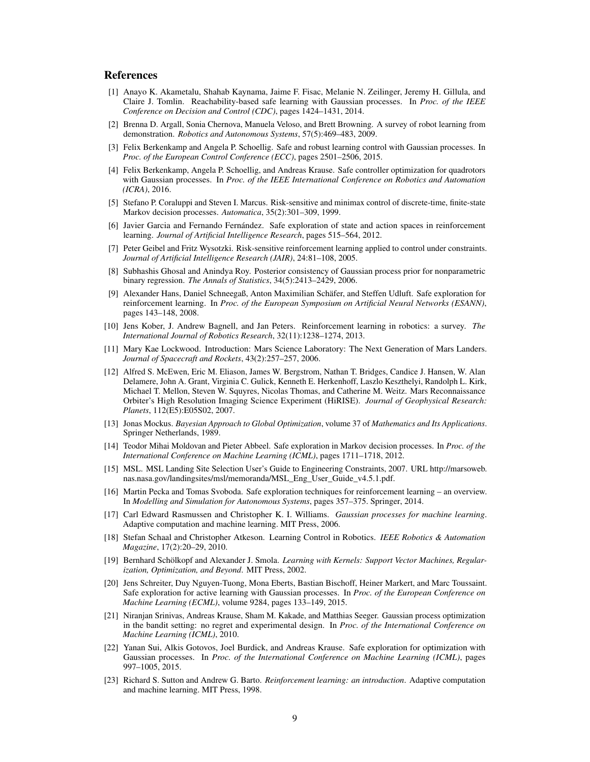## References

- <span id="page-8-9"></span>[1] Anayo K. Akametalu, Shahab Kaynama, Jaime F. Fisac, Melanie N. Zeilinger, Jeremy H. Gillula, and Claire J. Tomlin. Reachability-based safe learning with Gaussian processes. In *Proc. of the IEEE Conference on Decision and Control (CDC)*, pages 1424–1431, 2014.
- <span id="page-8-1"></span>[2] Brenna D. Argall, Sonia Chernova, Manuela Veloso, and Brett Browning. A survey of robot learning from demonstration. *Robotics and Autonomous Systems*, 57(5):469–483, 2009.
- <span id="page-8-10"></span>[3] Felix Berkenkamp and Angela P. Schoellig. Safe and robust learning control with Gaussian processes. In *Proc. of the European Control Conference (ECC)*, pages 2501–2506, 2015.
- <span id="page-8-16"></span>[4] Felix Berkenkamp, Angela P. Schoellig, and Andreas Krause. Safe controller optimization for quadrotors with Gaussian processes. In *Proc. of the IEEE International Conference on Robotics and Automation (ICRA)*, 2016.
- <span id="page-8-4"></span>[5] Stefano P. Coraluppi and Steven I. Marcus. Risk-sensitive and minimax control of discrete-time, finite-state Markov decision processes. *Automatica*, 35(2):301–309, 1999.
- <span id="page-8-6"></span>[6] Javier Garcia and Fernando Fernández. Safe exploration of state and action spaces in reinforcement learning. *Journal of Artificial Intelligence Research*, pages 515–564, 2012.
- <span id="page-8-5"></span>[7] Peter Geibel and Fritz Wysotzki. Risk-sensitive reinforcement learning applied to control under constraints. *Journal of Artificial Intelligence Research (JAIR)*, 24:81–108, 2005.
- <span id="page-8-19"></span>[8] Subhashis Ghosal and Anindya Roy. Posterior consistency of Gaussian process prior for nonparametric binary regression. *The Annals of Statistics*, 34(5):2413–2429, 2006.
- <span id="page-8-7"></span>[9] Alexander Hans, Daniel Schneegaß, Anton Maximilian Schäfer, and Steffen Udluft. Safe exploration for reinforcement learning. In *Proc. of the European Symposium on Artificial Neural Networks (ESANN)*, pages 143–148, 2008.
- <span id="page-8-0"></span>[10] Jens Kober, J. Andrew Bagnell, and Jan Peters. Reinforcement learning in robotics: a survey. *The International Journal of Robotics Research*, 32(11):1238–1274, 2013.
- <span id="page-8-20"></span>[11] Mary Kae Lockwood. Introduction: Mars Science Laboratory: The Next Generation of Mars Landers. *Journal of Spacecraft and Rockets*, 43(2):257–257, 2006.
- <span id="page-8-22"></span>[12] Alfred S. McEwen, Eric M. Eliason, James W. Bergstrom, Nathan T. Bridges, Candice J. Hansen, W. Alan Delamere, John A. Grant, Virginia C. Gulick, Kenneth E. Herkenhoff, Laszlo Keszthelyi, Randolph L. Kirk, Michael T. Mellon, Steven W. Squyres, Nicolas Thomas, and Catherine M. Weitz. Mars Reconnaissance Orbiter's High Resolution Imaging Science Experiment (HiRISE). *Journal of Geophysical Research: Planets*, 112(E5):E05S02, 2007.
- <span id="page-8-11"></span>[13] Jonas Mockus. *Bayesian Approach to Global Optimization*, volume 37 of *Mathematics and Its Applications*. Springer Netherlands, 1989.
- <span id="page-8-8"></span>[14] Teodor Mihai Moldovan and Pieter Abbeel. Safe exploration in Markov decision processes. In *Proc. of the International Conference on Machine Learning (ICML)*, pages 1711–1718, 2012.
- <span id="page-8-21"></span>[15] MSL. MSL Landing Site Selection User's Guide to Engineering Constraints, 2007. URL [http://marsoweb.](http://marsoweb.nas.nasa.gov/landingsites/msl/memoranda/MSL_Eng_User_Guide_v4.5.1.pdf) [nas.nasa.gov/landingsites/msl/memoranda/MSL\\_Eng\\_User\\_Guide\\_v4.5.1.pdf.](http://marsoweb.nas.nasa.gov/landingsites/msl/memoranda/MSL_Eng_User_Guide_v4.5.1.pdf)
- <span id="page-8-3"></span>[16] Martin Pecka and Tomas Svoboda. Safe exploration techniques for reinforcement learning – an overview. In *Modelling and Simulation for Autonomous Systems*, pages 357–375. Springer, 2014.
- <span id="page-8-13"></span>[17] Carl Edward Rasmussen and Christopher K. I. Williams. *Gaussian processes for machine learning*. Adaptive computation and machine learning. MIT Press, 2006.
- <span id="page-8-2"></span>[18] Stefan Schaal and Christopher Atkeson. Learning Control in Robotics. *IEEE Robotics & Automation Magazine*, 17(2):20–29, 2010.
- <span id="page-8-18"></span>[19] Bernhard Schölkopf and Alexander J. Smola. *Learning with Kernels: Support Vector Machines, Regularization, Optimization, and Beyond*. MIT Press, 2002.
- <span id="page-8-15"></span>[20] Jens Schreiter, Duy Nguyen-Tuong, Mona Eberts, Bastian Bischoff, Heiner Markert, and Marc Toussaint. Safe exploration for active learning with Gaussian processes. In *Proc. of the European Conference on Machine Learning (ECML)*, volume 9284, pages 133–149, 2015.
- <span id="page-8-12"></span>[21] Niranjan Srinivas, Andreas Krause, Sham M. Kakade, and Matthias Seeger. Gaussian process optimization in the bandit setting: no regret and experimental design. In *Proc. of the International Conference on Machine Learning (ICML)*, 2010.
- <span id="page-8-14"></span>[22] Yanan Sui, Alkis Gotovos, Joel Burdick, and Andreas Krause. Safe exploration for optimization with Gaussian processes. In *Proc. of the International Conference on Machine Learning (ICML)*, pages 997–1005, 2015.
- <span id="page-8-17"></span>[23] Richard S. Sutton and Andrew G. Barto. *Reinforcement learning: an introduction*. Adaptive computation and machine learning. MIT Press, 1998.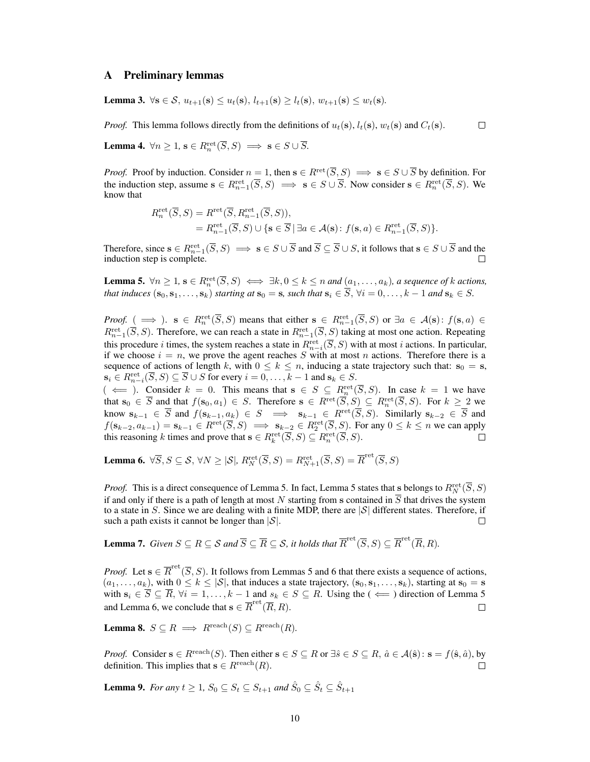## A Preliminary lemmas

<span id="page-9-2"></span>**Lemma 3.** ∀s ∈ S,  $u_{t+1}(s) \le u_t(s)$ ,  $l_{t+1}(s) \ge l_t(s)$ ,  $w_{t+1}(s) \le w_t(s)$ .

*Proof.* This lemma follows directly from the definitions of  $u_t(s)$ ,  $l_t(s)$ ,  $w_t(s)$  and  $C_t(s)$ .

 $\Box$ 

**Lemma 4.**  $\forall n \geq 1$ ,  $\mathbf{s} \in R_n^{\text{ret}}(\overline{S}, S) \implies \mathbf{s} \in S \cup \overline{S}$ .

*Proof.* Proof by induction. Consider  $n = 1$ , then  $s \in R^{\text{ret}}(\overline{S}, S) \implies s \in S \cup \overline{S}$  by definition. For the induction step, assume  $s \in R_{n-1}^{\text{ret}}(\overline{S}, S) \implies s \in S \cup \overline{S}$ . Now consider  $s \in R_n^{\text{ret}}(\overline{S}, S)$ . We know that

$$
R_n^{\text{ret}}(\overline{S}, S) = R_{n-1}^{\text{ret}}(\overline{S}, R_{n-1}^{\text{ret}}(\overline{S}, S)),
$$
  
=  $R_{n-1}^{\text{ret}}(\overline{S}, S) \cup \{ \mathbf{s} \in \overline{S} \mid \exists a \in \mathcal{A}(\mathbf{s}): f(\mathbf{s}, a) \in R_{n-1}^{\text{ret}}(\overline{S}, S) \}.$ 

Therefore, since  $s \in R_{n-1}^{\text{ret}}(\overline{S}, S) \implies s \in S \cup \overline{S}$  and  $\overline{S} \subseteq \overline{S} \cup S$ , it follows that  $s \in S \cup \overline{S}$  and the induction step is complete.

<span id="page-9-0"></span>**Lemma 5.**  $\forall n \geq 1$ ,  $\mathbf{s} \in R_n^{\text{ret}}(\overline{S}, S) \iff \exists k, 0 \leq k \leq n$  and  $(a_1, \ldots, a_k)$ , a sequence of k actions, *that induces*  $(\mathbf{s}_0, \mathbf{s}_1, \dots, \mathbf{s}_k)$  *starting at*  $\mathbf{s}_0 = \mathbf{s}$ *, such that*  $\mathbf{s}_i \in \overline{S}$ *,*  $\forall i = 0, \dots, k-1$  *and*  $\mathbf{s}_k \in S$ *.* 

*Proof.* (  $\implies$  ).  $s \in R_n^{\text{ret}}(\overline{S}, S)$  means that either  $s \in R_{n-1}^{\text{ret}}(\overline{S}, S)$  or  $\exists a \in \mathcal{A}(s) : f(s, a) \in$  $R_{n-1}^{\text{ret}}(\overline{S},S)$ . Therefore, we can reach a state in  $R_{n-1}^{\text{ret}}(\overline{S},S)$  taking at most one action. Repeating this procedure *i* times, the system reaches a state in  $R_{n-i}^{\text{ret}}(\overline{S}, S)$  with at most *i* actions. In particular, if we choose  $i = n$ , we prove the agent reaches S with at most n actions. Therefore there is a sequence of actions of length k, with  $0 \le k \le n$ , inducing a state trajectory such that:  $s_0 = s$ ,  $\mathbf{s}_i \in R^{\text{ret}}_{n-i}(\overline{S}, S) \subseteq \overline{S} \cup S$  for every  $i = 0, \ldots, k-1$  and  $\mathbf{s}_k \in S$ .

 $(\iff)$ . Consider  $k = 0$ . This means that  $s \in S \subseteq R_n^{\text{ret}}(\overline{S}, S)$ . In case  $k = 1$  we have that  $s_0 \in \overline{S}$  and that  $f(s_0, a_1) \in S$ . Therefore  $s \in R^{\text{ret}}(\overline{S}, S) \subseteq R_n^{\text{ret}}(\overline{S}, S)$ . For  $k \geq 2$  we know  $s_{k-1} \in \overline{S}$  and  $f(s_{k-1}, a_k) \in S \implies s_{k-1} \in R^{\text{ret}}(\overline{S}, S)$ . Similarly  $s_{k-2} \in \overline{S}$  and  $f(\mathbf{s}_{k-2}, a_{k-1}) = \mathbf{s}_{k-1} \in R^{\text{ret}}(\overline{S}, S) \implies \mathbf{s}_{k-2} \in R^{\text{ret}}_2(\overline{S}, S)$ . For any  $0 \le k \le n$  we can apply this reasoning k times and prove that  $\mathbf{s} \in R_k^{\text{ret}}(\overline{S}, S) \subseteq R_n^{\text{ret}}(\overline{S}, S)$ .

<span id="page-9-1"></span>**Lemma 6.**  $\forall \overline{S}, S \subseteq \mathcal{S}, \forall N \geq |\mathcal{S}|$ ,  $R_N^{\text{ret}}(\overline{S}, S) = R_{N+1}^{\text{ret}}(\overline{S}, S) = \overline{R}^{\text{ret}}(\overline{S}, S)$ 

*Proof.* This is a direct consequence of Lemma [5.](#page-9-0) In fact, Lemma [5](#page-9-0) states that s belongs to  $R_N^{\text{ret}}(\overline{S}, S)$ if and only if there is a path of length at most N starting from s contained in  $\overline{S}$  that drives the system to a state in S. Since we are dealing with a finite MDP, there are  $|S|$  different states. Therefore, if such a path exists it cannot be longer than  $|S|$ .  $\Box$ 

<span id="page-9-4"></span>**Lemma 7.** *Given*  $S \subseteq R \subseteq S$  *and*  $\overline{S} \subseteq \overline{R} \subseteq S$ *, it holds that*  $\overline{R}^{\text{ret}}(\overline{S},S) \subseteq \overline{R}^{\text{ret}}(\overline{R},R)$ *.* 

*Proof.* Let  $\mathbf{s} \in \overline{R}^{\text{ret}}(\overline{S}, S)$ . It follows from Lemmas [5](#page-9-0) and [6](#page-9-1) that there exists a sequence of actions,  $(a_1, \ldots, a_k)$ , with  $0 \leq k \leq |\mathcal{S}|$ , that induces a state trajectory,  $(\mathbf{s}_0, \mathbf{s}_1, \ldots, \mathbf{s}_k)$ , starting at  $\mathbf{s}_0 = \mathbf{s}$ with  $s_i \in \overline{S} \subseteq \overline{R}$ ,  $\forall i = 1, ..., k-1$  and  $s_k \in S \subseteq R$ . Using the  $(\Leftarrow)$  direction of Lemma [5](#page-9-0) and Lemma [6,](#page-9-1) we conclude that  $\mathbf{s} \in \overline{R}^{\text{ret}}(\overline{R}, R)$ .  $\Box$ 

<span id="page-9-3"></span>Lemma 8.  $S \subseteq R \implies R^{\text{reach}}(S) \subseteq R^{\text{reach}}(R)$ .

*Proof.* Consider  $s \in R^{\text{reach}}(S)$ . Then either  $s \in S \subseteq R$  or  $\exists \hat{s} \in S \subseteq R$ ,  $\hat{a} \in \mathcal{A}(\hat{s})$ :  $s = f(\hat{s}, \hat{a})$ , by definition. This implies that  $s \in R^{\text{reach}}(R)$ .  $\Box$ 

<span id="page-9-5"></span>**Lemma 9.** For any  $t \geq 1$ ,  $S_0 \subseteq S_t \subseteq S_{t+1}$  and  $\hat{S}_0 \subseteq \hat{S}_t \subseteq \hat{S}_{t+1}$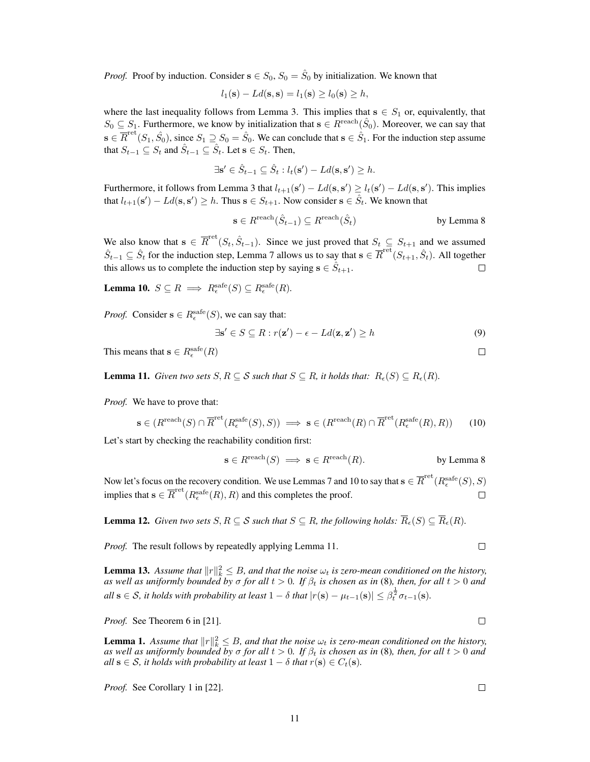*Proof.* Proof by induction. Consider  $s \in S_0$ ,  $S_0 = \hat{S}_0$  by initialization. We known that

$$
l_1(\mathbf{s}) - Ld(\mathbf{s}, \mathbf{s}) = l_1(\mathbf{s}) \ge l_0(\mathbf{s}) \ge h,
$$

where the last inequality follows from Lemma [3.](#page-9-2) This implies that  $s \in S_1$  or, equivalently, that  $S_0 \subseteq S_1$ . Furthermore, we know by initialization that  $s \in R^{\text{reach}}(\hat{S}_0)$ . Moreover, we can say that  $\mathbf{s} \in \overline{R}^{\text{ret}}(S_1, \hat{S}_0)$ , since  $S_1 \supseteq S_0 = \hat{S}_0$ . We can conclude that  $\mathbf{s} \in \hat{S}_1$ . For the induction step assume that  $S_{t-1} \subseteq S_t$  and  $\hat{S}_{t-1} \subseteq \hat{S}_t$ . Let  $\mathbf{s} \in S_t$ . Then,

$$
\exists \mathbf{s}' \in \hat{S}_{t-1} \subseteq \hat{S}_t : l_t(\mathbf{s}') - Ld(\mathbf{s}, \mathbf{s}') \ge h.
$$

Furthermore, it follows from Lemma [3](#page-9-2) that  $l_{t+1}(s') - Ld(s, s') \ge l_t(s') - Ld(s, s')$ . This implies that  $l_{t+1}(\mathbf{s}') - Ld(\mathbf{s}, \mathbf{s}') \geq h$ . Thus  $\mathbf{s} \in S_{t+1}$ . Now consider  $\mathbf{s} \in \hat{S}_t$ . We known that

$$
\mathbf{s} \in R^{\text{reach}}(\hat{S}_{t-1}) \subseteq R^{\text{reach}}(\hat{S}_t) \quad \text{by Lemma 8}
$$

We also know that  $s \in \overline{R}^{\text{ret}}(S_t, \hat{S}_{t-1})$ . Since we just proved that  $S_t \subseteq S_{t+1}$  and we assumed  $\hat{S}_{t-1} \subseteq \hat{S}_t$  for the induction step, Lemma [7](#page-9-4) allows us to say that  $\mathbf{s} \in \overline{R}^{\text{ret}}(S_{t+1}, \hat{S}_t)$ . All together this allows us to complete the induction step by saying  $\mathbf{s} \in \hat{S}_{t+1}$ .  $\Box$ 

<span id="page-10-0"></span>**Lemma 10.**  $S \subseteq R \implies R_{\epsilon}^{\text{safe}}(S) \subseteq R_{\epsilon}^{\text{safe}}(R)$ .

*Proof.* Consider  $\mathbf{s} \in R_{\epsilon}^{\text{safe}}(S)$ , we can say that:

$$
\exists \mathbf{s}' \in S \subseteq R : r(\mathbf{z}') - \epsilon - Ld(\mathbf{z}, \mathbf{z}') \ge h \tag{9}
$$

This means that  $\mathbf{s} \in R_{\epsilon}^{\text{safe}}(R)$ 

<span id="page-10-1"></span>**Lemma 11.** *Given two sets*  $S, R \subseteq S$  *such that*  $S \subseteq R$ *, it holds that:*  $R_{\epsilon}(S) \subseteq R_{\epsilon}(R)$ *.* 

*Proof.* We have to prove that:

$$
\mathbf{s} \in (R^{\text{reach}}(S) \cap \overline{R}^{\text{ret}}(R_{\epsilon}^{\text{safe}}(S), S)) \implies \mathbf{s} \in (R^{\text{reach}}(R) \cap \overline{R}^{\text{ret}}(R_{\epsilon}^{\text{safe}}(R), R)) \tag{10}
$$

Let's start by checking the reachability condition first:

$$
\mathbf{s} \in R^{\text{reach}}(S) \implies \mathbf{s} \in R^{\text{reach}}(R).
$$
 by Lemma 8

Now let's focus on the recovery condition. We use Lemmas [7](#page-9-4) and [10](#page-10-0) to say that  $\mathbf{s}\in\overline{R}^{\mathrm{ret}}(R_{\epsilon}^{\mathrm{safe}}(S),S)$ implies that  $\mathbf{s} \in \overline{R}^{\text{ret}}(R^{\text{safe}}_e(R), R)$  and this completes the proof. П

<span id="page-10-2"></span>**Lemma 12.** *Given two sets*  $S, R \subseteq S$  *such that*  $S \subseteq R$ *, the following holds:*  $\overline{R}_{\epsilon}(S) \subseteq \overline{R}_{\epsilon}(R)$ *.* 

*Proof.* The result follows by repeatedly applying Lemma [11.](#page-10-1)

<span id="page-10-3"></span>**Lemma 13.** Assume that  $||r||_k^2 \leq B$ , and that the noise  $\omega_t$  is zero-mean conditioned on the history, *as well as uniformly bounded by*  $\sigma$  *for all*  $t > 0$ *. If*  $\beta_t$  *is chosen as in* [\(8\)](#page-5-2)*, then, for all*  $t > 0$  *and*  $all \textbf{ s} \in \mathcal{S}$ , it holds with probability at least  $1 - \delta$  that  $|r(\textbf{s}) - \mu_{t-1}(\textbf{s})| \leq \beta_t^{\frac{1}{2}} \sigma_{t-1}(\textbf{s}).$ 

*Proof.* See Theorem 6 in [\[21\]](#page-8-12).

**Lemma 1.** Assume that  $||r||_k^2 \leq B$ , and that the noise  $\omega_t$  is zero-mean conditioned on the history, *as well as uniformly bounded by*  $\sigma$  *for all*  $t > 0$ *. If*  $\beta_t$  *is chosen as in* [\(8\)](#page-5-2)*, then, for all*  $t > 0$  *and all*  $s \in S$ *, it holds with probability at least*  $1 - \delta$  *that*  $r(s) \in C_t(s)$ *.* 

*Proof.* See Corollary 1 in [\[22\]](#page-8-14).

 $\Box$ 

 $\Box$ 

 $\Box$ 

 $\Box$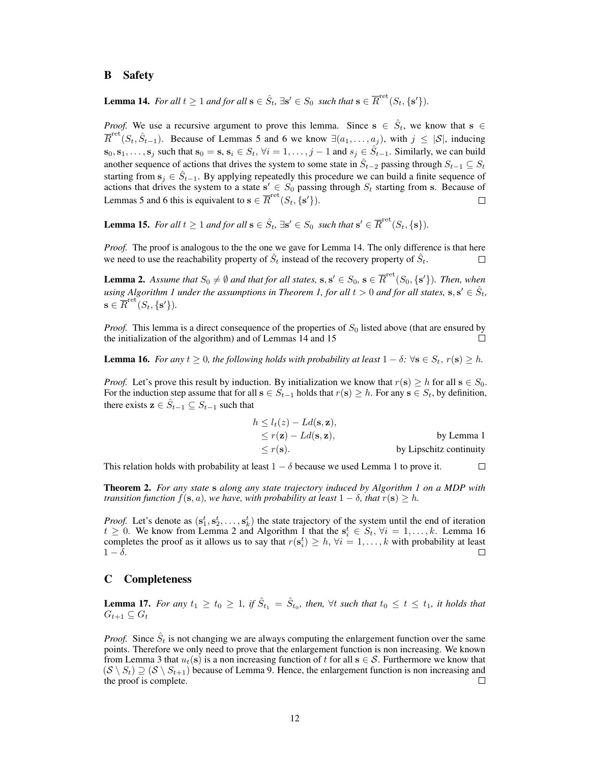## B Safety

<span id="page-11-0"></span>Lemma 14. For all  $t \geq 1$  and for all  $s \in \hat{S}_t$ ,  $\exists s' \in S_0$  *such that*  $s \in \overline{R}^{\text{ret}}(S_t, \{s'\})$ .

*Proof.* We use a recursive argument to prove this lemma. Since  $s \in \hat{S}_t$ , we know that  $s \in \hat{S}_t$  $\overline{R}^{\text{ret}}(S_t, \hat{S}_{t-1})$ . Because of Lemmas [5](#page-9-0) and [6](#page-9-1) we know  $\exists (a_1, \ldots, a_j)$ , with  $j \leq |\mathcal{S}|$ , inducing  $s_0, s_1, \ldots, s_j$  such that  $s_0 = s$ ,  $s_i \in S_t$ ,  $\forall i = 1, \ldots, j-1$  and  $s_j \in \hat{S}_{t-1}$ . Similarly, we can build another sequence of actions that drives the system to some state in  $\hat{S}_{t-2}$  passing through  $S_{t-1} \subseteq S_t$ starting from  $s_j \in \hat{S}_{t-1}$ . By applying repeatedly this procedure we can build a finite sequence of actions that drives the system to a state  $s' \in S_0$  passing through  $S_t$  starting from s. Because of Lemmas [5](#page-9-0) and [6](#page-9-1) this is equivalent to  $\mathbf{s} \in \overline{R}^{\text{ret}}(S_t, \{s'\})$ .  $\Box$ 

<span id="page-11-1"></span>Lemma 15. For all  $t \geq 1$  and for all  $s \in \hat{S}_t$ ,  $\exists s' \in S_0$  *such that*  $s' \in \overline{R}^{\text{ret}}(S_t, \{s\})$ .

*Proof.* The proof is analogous to the the one we gave for Lemma [14.](#page-11-0) The only difference is that here we need to use the reachability property of  $\hat{S}_t$  instead of the recovery property of  $\hat{S}_t$ . П

**Lemma 2.** Assume that  $S_0 \neq \emptyset$  and that for all states,  $s, s' \in S_0$ ,  $s \in \overline{R}^{\text{ret}}(S_0, \{s'\})$ . Then, when using Algorithm [1](#page-3-1) under the assumptions in Theorem [1,](#page-5-3) for all  $t > 0$  and for all states,  $\mathbf{s}, \mathbf{s}' \in \hat{S}_t$ ,  $\mathbf{s} \in \overline{R}^{\rm ret}(S_t,\{\mathbf{s}'\}).$ 

*Proof.* This lemma is a direct consequence of the properties of  $S_0$  listed above (that are ensured by the initialization of the algorithm) and of Lemmas [14](#page-11-0) and [15](#page-11-1)

<span id="page-11-2"></span>**Lemma 16.** *For any*  $t \geq 0$ *, the following holds with probability at least*  $1 - \delta$ *:*  $\forall$ **s**  $\in$   $S_t$ *, r*(**s**)  $\geq$  *h*.

*Proof.* Let's prove this result by induction. By initialization we know that  $r(s) \geq h$  for all  $s \in S_0$ . For the induction step assume that for all  $s \in S_{t-1}$  holds that  $r(s) \geq h$ . For any  $s \in S_t$ , by definition, there exists  $\mathbf{z} \in \hat{S}_{t-1} \subseteq S_{t-1}$  such that

$$
h \le l_t(z) - Ld(s, z),
$$
  
\n
$$
\le r(z) - Ld(s, z),
$$
 by Lemma 1  
\n
$$
\le r(s).
$$
 by Lipschitz continuity

This relation holds with probability at least  $1 - \delta$  because we used Lemma [1](#page-5-4) to prove it.  $\Box$ 

<span id="page-11-3"></span>Theorem 2. *For any state* s *along any state trajectory induced by Algorithm [1](#page-3-1) on a MDP with transition function*  $f(\mathbf{s}, a)$ *, we have, with probability at least*  $1 - \delta$ *, that*  $r(\mathbf{s}) \geq h$ *.* 

*Proof.* Let's denote as  $(s_1^t, s_2^t, \ldots, s_k^t)$  the state trajectory of the system until the end of iteration  $t \geq 0$ . We know from Lemma [2](#page-5-0) and Algorithm [1](#page-3-1) that the  $s_i^t \in S_t$ ,  $\forall i = 1, \ldots, k$ . Lemma [16](#page-11-2) completes the proof as it allows us to say that  $r(s_i^t) \geq h$ ,  $\forall i = 1, ..., k$  with probability at least  $1 - \delta$ .

## C Completeness

**Lemma 17.** For any  $t_1 \ge t_0 \ge 1$ , if  $\hat{S}_{t_1} = \hat{S}_{t_0}$ , then,  $\forall t$  such that  $t_0 \le t \le t_1$ , it holds that  $G_{t+1} \subseteq G_t$ 

*Proof.* Since  $\hat{S}_t$  is not changing we are always computing the enlargement function over the same points. Therefore we only need to prove that the enlargement function is non increasing. We known from Lemma [3](#page-9-2) that  $u_t(s)$  is a non increasing function of t for all  $s \in S$ . Furthermore we know that  $(S \setminus S_t) \supseteq (S \setminus S_{t+1})$  because of Lemma [9.](#page-9-5) Hence, the enlargement function is non increasing and the proof is complete. the proof is complete.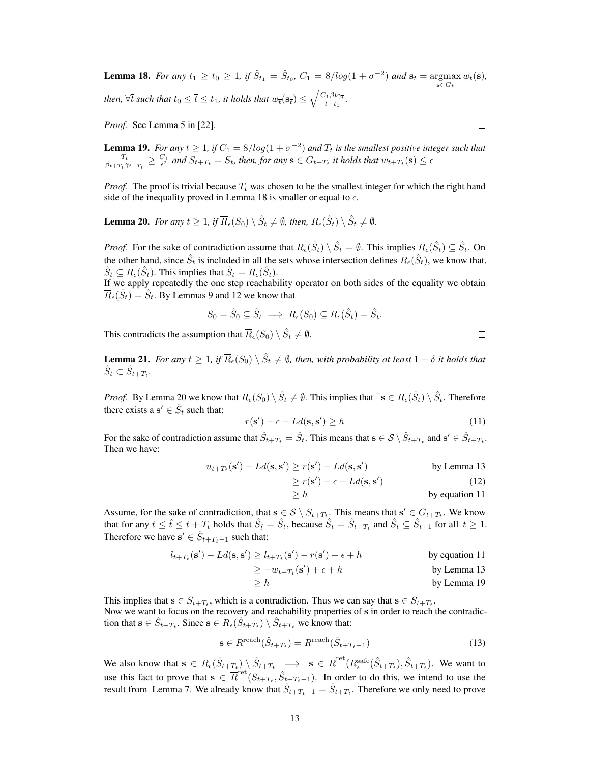<span id="page-12-0"></span>**Lemma 18.** For any  $t_1 \ge t_0 \ge 1$ , if  $\hat{S}_{t_1} = \hat{S}_{t_0}$ ,  $C_1 = 8/log(1 + \sigma^{-2})$  and  $\mathbf{s}_t = \text{argmax } w_t(\mathbf{s})$ ,  $\mathbf{s} \in G_t$ then,  $\forall \overline{t}$  such that  $t_0 \leq \overline{t} \leq t_1$ , it holds that  $w_{\overline{t}}(\mathbf{s}_{\overline{t}}) \leq \sqrt{\frac{C_1 \beta \overline{t} \gamma_{\overline{t}}}{\overline{t} - t_0}}$  $\frac{\partial^2 D^2 \mathcal{T}_{\overline{t}}}{\partial \overline{t}-t_0}$ .

*Proof.* See Lemma 5 in [\[22\]](#page-8-14).

<span id="page-12-3"></span>**Lemma 19.** For any  $t \ge 1$ , if  $C_1 = 8/log(1 + \sigma^{-2})$  and  $T_t$  is the smallest positive integer such that  $\frac{T_t}{\beta_{t+T_t}\gamma_{t+T_t}} \ge \frac{C_1}{\epsilon^2}$  and  $S_{t+T_t} = S_t$ , then, for any  $s \in G_{t+T_t}$  it holds that  $w_{t+T_t}(s) \le \epsilon$ 

*Proof.* The proof is trivial because  $T_t$  was chosen to be the smallest integer for which the right hand side of the inequality proved in Lemma [18](#page-12-0) is smaller or equal to  $\epsilon$ . П

<span id="page-12-1"></span>**Lemma 20.** For any  $t \geq 1$ , if  $\overline{R}_{\epsilon}(S_0) \setminus \hat{S}_t \neq \emptyset$ , then,  $R_{\epsilon}(\hat{S}_t) \setminus \hat{S}_t \neq \emptyset$ .

*Proof.* For the sake of contradiction assume that  $R_{\epsilon}(\hat{S}_t) \setminus \hat{S}_t = \emptyset$ . This implies  $R_{\epsilon}(\hat{S}_t) \subseteq \hat{S}_t$ . On the other hand, since  $\hat{S}_t$  is included in all the sets whose intersection defines  $R_{\epsilon}(\hat{S}_t)$ , we know that,  $\hat{S}_t \subseteq R_{\epsilon}(\hat{S}_t)$ . This implies that  $\hat{S}_t = R_{\epsilon}(\hat{S}_t)$ .

If we apply repeatedly the one step reachability operator on both sides of the equality we obtain  $\overline{R}_{\epsilon}(\hat{S}_t) = \hat{S}_t$ . By Lemmas [9](#page-9-5) and [12](#page-10-2) we know that

$$
S_0 = \hat{S}_0 \subseteq \hat{S}_t \implies \overline{R}_{\epsilon}(S_0) \subseteq \overline{R}_{\epsilon}(\hat{S}_t) = \hat{S}_t.
$$

This contradicts the assumption that  $\overline{R}_{\epsilon}(S_0) \setminus \hat{S}_t \neq \emptyset$ .

<span id="page-12-5"></span>**Lemma 21.** For any  $t \geq 1$ , if  $\overline{R}_{\epsilon}(S_0) \setminus \hat{S}_t \neq \emptyset$ , then, with probability at least  $1-\delta$  it holds that  $\hat{S}_t \subset \hat{S}_{t+T_t}$ .

*Proof.* By Lemma [20](#page-12-1) we know that  $\overline{R}_{\epsilon}(S_0) \setminus \hat{S}_t \neq \emptyset$ . This implies that  $\exists s \in R_{\epsilon}(\hat{S}_t) \setminus \hat{S}_t$ . Therefore there exists a  $\mathbf{s}' \in \hat{S}_t$  such that:

<span id="page-12-2"></span>
$$
r(\mathbf{s}') - \epsilon - Ld(\mathbf{s}, \mathbf{s}') \ge h \tag{11}
$$

For the sake of contradiction assume that  $\hat{S}_{t+T_t} = \hat{S}_t$ . This means that  $\mathbf{s} \in \mathcal{S} \setminus \hat{S}_{t+T_t}$  and  $\mathbf{s}' \in \hat{S}_{t+T_t}$ . Then we have:

$$
u_{t+T_t}(\mathbf{s}') - Ld(\mathbf{s}, \mathbf{s}') \ge r(\mathbf{s}') - Ld(\mathbf{s}, \mathbf{s}') \qquad \text{by Lemma 13}
$$

$$
\geq r(\mathbf{s}') - \epsilon - Ld(\mathbf{s}, \mathbf{s}') \tag{12}
$$

$$
\geq h \qquad \qquad \text{by equation 11}
$$

Assume, for the sake of contradiction, that  $s \in S \setminus S_{t+T_t}$ . This means that  $s' \in G_{t+T_t}$ . We know that for any  $t \leq \hat{t} \leq t + T_t$  holds that  $\hat{S}_{\hat{t}} = \hat{S}_t$ , because  $\hat{S}_t = \hat{S}_{t+T_t}$  and  $\hat{S}_t \subseteq \hat{S}_{t+1}$  for all  $t \geq 1$ . Therefore we have  $\mathbf{s}' \in \hat{S}_{t+T_t-1}$  such that:

$$
l_{t+T_t}(\mathbf{s}') - Ld(\mathbf{s}, \mathbf{s}') \ge l_{t+T_t}(\mathbf{s}') - r(\mathbf{s}') + \epsilon + h
$$
 by equation 11

$$
\geq -w_{t+T_t}(\mathbf{s}') + \epsilon + h \quad \text{by Lemma 13}
$$

$$
\geq h \qquad \qquad \text{by Lemma 19}
$$

This implies that  $s \in S_{t+T_t}$ , which is a contradiction. Thus we can say that  $s \in S_{t+T_t}$ . Now we want to focus on the recovery and reachability properties of s in order to reach the contradiction that  $\mathbf{s} \in \hat{S}_{t+T_t}$ . Since  $\mathbf{s} \in R_{\epsilon}(\hat{S}_{t+T_t}) \setminus \hat{S}_{t+T_t}$  we know that:

<span id="page-12-4"></span>
$$
\mathbf{s} \in R^{\text{reach}}(\hat{S}_{t+T_t}) = R^{\text{reach}}(\hat{S}_{t+T_t-1})
$$
\n(13)

We also know that  $s \in R_{\epsilon}(\hat{S}_{t+T_t}) \setminus \hat{S}_{t+T_t} \implies s \in \overline{R}^{\text{ret}}(R_{\epsilon}^{\text{safe}}(\hat{S}_{t+T_t}), \hat{S}_{t+T_t})$ . We want to  $\epsilon$ use this fact to prove that  $s \in \overline{R}^{\text{ret}}(S_{t+T_t}, \hat{S}_{t+T_t-1})$ . In order to do this, we intend to use the result from Lemma [7.](#page-9-4) We already know that  $\hat{S}_{t+T_t-1} = \hat{S}_{t+T_t}$ . Therefore we only need to prove

 $\Box$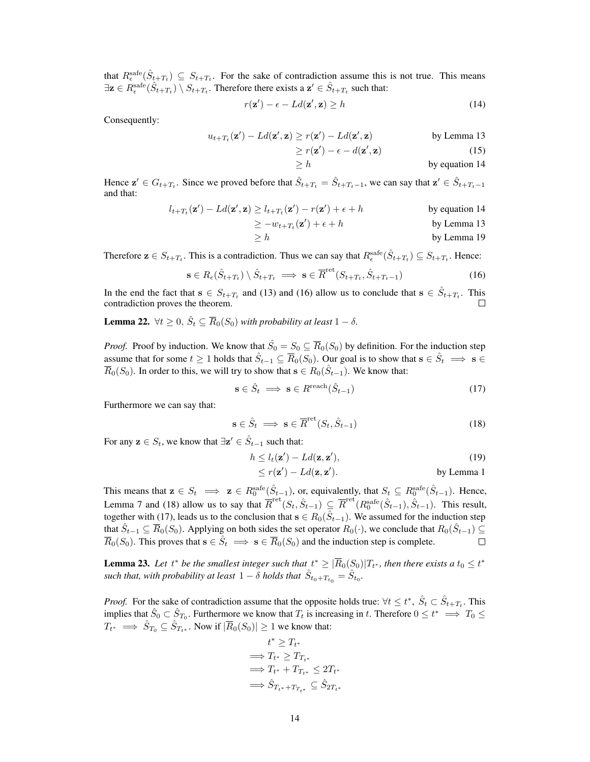that  $R_{\epsilon}^{\text{safe}}(\hat{S}_{t+T_t}) \subseteq S_{t+T_t}$ . For the sake of contradiction assume this is not true. This means  $\exists z \in R_{\epsilon}^{\text{safe}}(\hat{S}_{t+T_t}) \setminus S_{t+T_t}$ . Therefore there exists a  $z' \in \hat{S}_{t+T_t}$  such that:

<span id="page-13-0"></span>
$$
r(\mathbf{z}') - \epsilon - Ld(\mathbf{z}', \mathbf{z}) \ge h \tag{14}
$$

Consequently:

$$
u_{t+T_t}(\mathbf{z}') - Ld(\mathbf{z}', \mathbf{z}) \ge r(\mathbf{z}') - Ld(\mathbf{z}', \mathbf{z}) \quad \text{by Lemma 13}
$$

$$
\geq r(\mathbf{z}') - \epsilon - d(\mathbf{z}', \mathbf{z}) \tag{15}
$$

$$
\geq h \qquad \qquad \text{by equation 14}
$$

Hence  $\mathbf{z}' \in G_{t+T_t}$ . Since we proved before that  $\hat{S}_{t+T_t} = \hat{S}_{t+T_t-1}$ , we can say that  $\mathbf{z}' \in \hat{S}_{t+T_t-1}$ and that:

$$
l_{t+T_t}(\mathbf{z}') - Ld(\mathbf{z}', \mathbf{z}) \ge l_{t+T_t}(\mathbf{z}') - r(\mathbf{z}') + \epsilon + h
$$
 by equation 14

$$
\geq -w_{t+T_t}(\mathbf{z}') + \epsilon + h \qquad \qquad \text{by Lemma 13}
$$

$$
\geq h \qquad \qquad \text{by Lemma 19}
$$

Therefore  $\mathbf{z} \in S_{t+T_t}$ . This is a contradiction. Thus we can say that  $R_{\epsilon}^{\text{safe}}(\hat{S}_{t+T_t}) \subseteq S_{t+T_t}$ . Hence:

<span id="page-13-1"></span>
$$
\mathbf{s} \in R_{\epsilon}(\hat{S}_{t+T_t}) \setminus \hat{S}_{t+T_t} \implies \mathbf{s} \in \overline{R}^{\text{ret}}(S_{t+T_t}, \hat{S}_{t+T_t-1})
$$
(16)

In the end the fact that  $s \in S_{t+T_t}$  and [\(13\)](#page-12-4) and [\(16\)](#page-13-1) allow us to conclude that  $s \in \hat{S}_{t+T_t}$ . This contradiction proves the theorem.  $\Box$ 

<span id="page-13-4"></span>**Lemma 22.**  $\forall t \geq 0$ ,  $\hat{S}_t \subseteq \overline{R}_0(S_0)$  *with probability at least*  $1 - \delta$ .

*Proof.* Proof by induction. We know that  $\hat{S}_0 = S_0 \subseteq \overline{R}_0(S_0)$  by definition. For the induction step assume that for some  $t \ge 1$  holds that  $\hat{S}_{t-1} \subseteq \overline{R}_0(S_0)$ . Our goal is to show that  $s \in \hat{S}_t \implies s \in$  $\overline{R}_0(S_0)$ . In order to this, we will try to show that  $s \in R_0(\hat{S}_{t-1})$ . We know that:

<span id="page-13-3"></span>
$$
\mathbf{s} \in \hat{S}_t \implies \mathbf{s} \in R^{\text{reach}}(\hat{S}_{t-1}) \tag{17}
$$

Furthermore we can say that:

<span id="page-13-2"></span>
$$
\mathbf{s} \in \hat{S}_t \implies \mathbf{s} \in \overline{R}^{\text{ret}}(S_t, \hat{S}_{t-1})
$$
\n(18)

For any  $z \in S_t$ , we know that  $\exists z' \in \hat{S}_{t-1}$  such that:

$$
h \le l_t(\mathbf{z}') - Ld(\mathbf{z}, \mathbf{z}'),\tag{19}
$$

$$
\leq r(\mathbf{z}') - Ld(\mathbf{z}, \mathbf{z}').
$$
 by Lemma 1

This means that  $\mathbf{z} \in S_t \implies \mathbf{z} \in R_0^{\text{safe}}(\hat{S}_{t-1})$ , or, equivalently, that  $S_t \subseteq R_0^{\text{safe}}(\hat{S}_{t-1})$ . Hence, Lemma [7](#page-9-4) and [\(18\)](#page-13-2) allow us to say that  $\overline{R}^{\text{ret}}(S_t, \hat{S}_{t-1}) \subseteq \overline{R}^{\text{ret}}(R_0^{\text{safe}}(\hat{S}_{t-1}), \hat{S}_{t-1})$ . This result, together with [\(17\)](#page-13-3), leads us to the conclusion that  $s \in R_0(\hat{S}_{t-1})$ . We assumed for the induction step that  $\hat{S}_{t-1} \subseteq \overline{R}_0(S_0)$ . Applying on both sides the set operator  $R_0(\cdot)$ , we conclude that  $R_0(\hat{S}_{t-1}) \subseteq$  $\overline{R}_0(S_0)$ . This proves that  $\mathbf{s} \in \hat{S}_t \implies \mathbf{s} \in \overline{R}_0(S_0)$  and the induction step is complete.  $\Box$ 

<span id="page-13-5"></span>**Lemma 23.** Let  $t^*$  be the smallest integer such that  $t^* \geq |\overline{R}_0(S_0)|T_{t^*}$ , then there exists a  $t_0 \leq t^*$ such that, with probability at least  $1 - \delta$  holds that  $\hat{S}_{t_0+T_{t_0}} = \hat{S}_{t_0}$ .

*Proof.* For the sake of contradiction assume that the opposite holds true:  $\forall t \leq t^*$ ,  $\hat{S}_t \subset \hat{S}_{t+T_t}$ . This implies that  $\hat{S}_0 \subset \hat{S}_{T_0}$ . Furthermore we know that  $T_t$  is increasing in t. Therefore  $0 \le t^* \implies T_0 \le$  $T_{t^*} \implies \hat{S}_{T_0} \subseteq \hat{S}_{T_{t^*}}$ . Now if  $|\overline{R}_0(S_0)| \ge 1$  we know that:

$$
t^* \geq T_{t^*}
$$
  
\n
$$
\implies T_{t^*} \geq T_{T_{t^*}}
$$
  
\n
$$
\implies T_{t^*} + T_{T_{t^*}} \leq 2T_{t^*}
$$
  
\n
$$
\implies \hat{S}_{T_{t^*} + T_{T_{t^*}}} \subseteq \hat{S}_{2T_{t^*}}
$$